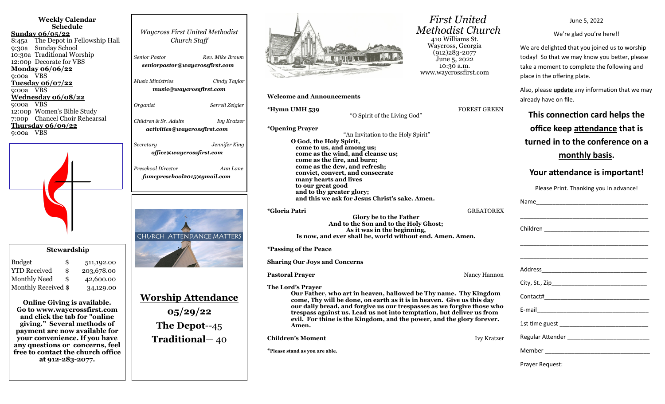| <b>Weekly Calendar</b><br><b>Schedule</b><br>Sunday $06/05/22$<br>The Depot in Fellowship Hall<br>8:45a<br><b>Sunday School</b><br>9:30a<br>10:30a Traditional Worship<br>12:00p Decorate for VBS<br><b>Monday 06/06/22</b><br>9:00a VBS<br><u>Tuesday 06/07/22</u><br>9:00a VBS<br>Wednesday 06/08/22                                                                                                                                                                             | <b>Waycross First United Methodist</b><br>Church Staff<br><b>Senior Pastor</b><br>Rev. Mike Brown<br>seniorpastor@waycrossfirst.com<br>Music Ministries<br>Cindy Taylor<br>music@waycrossfirst.com |
|------------------------------------------------------------------------------------------------------------------------------------------------------------------------------------------------------------------------------------------------------------------------------------------------------------------------------------------------------------------------------------------------------------------------------------------------------------------------------------|----------------------------------------------------------------------------------------------------------------------------------------------------------------------------------------------------|
| <b>VBS</b><br>9:00a<br>12:00p Women's Bible Study<br>7:00p Chancel Choir Rehearsal<br>Thursday 06/09/22<br>9:00a VBS                                                                                                                                                                                                                                                                                                                                                               | Organist<br>Serrell Zeigler<br>Children & Sr. Adults<br><b>Ivy Kratzer</b><br>activities@waycrossfirst.com                                                                                         |
|                                                                                                                                                                                                                                                                                                                                                                                                                                                                                    | Jennifer King<br>Secretary<br>office@waycrossfirst.com<br>Preschool Director<br>Ann Lane<br>fumcpreschool2015@gmail.com<br><b>CHURCH ATTENDANCE MATTERS</b>                                        |
| <b>Stewardship</b><br><b>Budget</b><br>\$<br>511,192.00<br><b>YTD Received</b><br>\$<br>203,678.00<br><b>Monthly Need</b><br>\$<br>42,600.00<br>Monthly Received \$<br>34,129.00<br><b>Online Giving is available</b><br>Go to www.waycrossfirst.com<br>and click the tab for "online<br>giving." Several methods of<br>payment are now available for<br>your convenience. If you have<br>any questions or concerns, feel<br>free to contact the church office<br>at 912-283-2077. | <u> Worship Attendance</u><br>05/29/22<br>The Depot--45<br><b>Traditional</b> - 40                                                                                                                 |



## **Welcome and Announcements**

**\*Hymn UMH 539 FOREST GREEN** 

"O Spirit of the Living God"

**\*Opening Prayer** 

"An Invitation to the Holy Spirit" **O God, the Holy Spirit, come to us, and among us; come as the wind, and cleanse us; come as the fire, and burn; come as the dew, and refresh; convict, convert, and consecrate many hearts and lives to our great good and to thy greater glory; and this we ask for Jesus Christ's sake. Amen.**

**\*Gloria Patri** GREATOREX

**Glory be to the Father And to the Son and to the Holy Ghost; As it was in the beginning, Is now, and ever shall be, world without end. Amen. Amen.**

**\*Passing of the Peace**

**Sharing Our Joys and Concerns**

**Pastoral Prayer 1988 Contract Prayer 2012 Contract Prayer 2013 Alanz Prayer 2013** 

**The Lord's Prayer Our Father, who art in heaven, hallowed be Thy name. Thy Kingdom come, Thy will be done, on earth as it is in heaven. Give us this day our daily bread, and forgive us our trespasses as we forgive those who trespass against us. Lead us not into temptation, but deliver us from evil. For thine is the Kingdom, and the power, and the glory forever. Amen.** 

**Children's Moment Ivy Kratzer** 

**\*Please stand as you are able.**

 *First United Methodist Church* 410 Williams St. Waycross, Georgia (912)283-2077 June 5, 2022 10:30 a.m. www.waycrossfirst.com

June 5, 2022

We're glad you're here!!

We are delighted that you joined us to worship today! So that we may know you better, please take a moment to complete the following and place in the offering plate.

Also, please **update** any information that we may already have on file.

**This connection card helps the office keep attendance that is turned in to the conference on a monthly basis.** 

## **Your attendance is important!**

Please Print. Thanking you in advance!

| <u> 1989 - Jan James James James James James James James James James James James James James James James James J</u> |  |
|----------------------------------------------------------------------------------------------------------------------|--|
|                                                                                                                      |  |
|                                                                                                                      |  |
|                                                                                                                      |  |
|                                                                                                                      |  |
|                                                                                                                      |  |
|                                                                                                                      |  |
|                                                                                                                      |  |
|                                                                                                                      |  |
|                                                                                                                      |  |
|                                                                                                                      |  |
|                                                                                                                      |  |

Prayer Request: